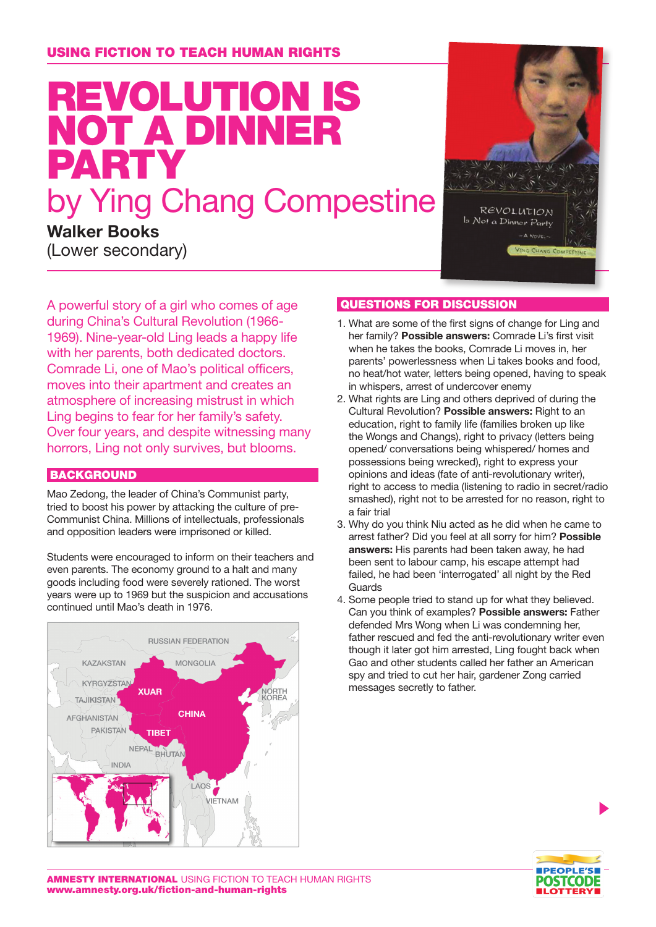# Revolution is not a dinner party by Ying Chang Compestine

**Walker Books** (Lower secondary)



A powerful story of a girl who comes of age during China's Cultural Revolution (1966- 1969). Nine-year-old Ling leads a happy life with her parents, both dedicated doctors. Comrade Li, one of Mao's political officers, moves into their apartment and creates an atmosphere of increasing mistrust in which Ling begins to fear for her family's safety. Over four years, and despite witnessing many horrors, Ling not only survives, but blooms.

### **BACKGROUND**

Mao Zedong, the leader of China's Communist party, tried to boost his power by attacking the culture of pre-Communist China. Millions of intellectuals, professionals and opposition leaders were imprisoned or killed.

Students were encouraged to inform on their teachers and even parents. The economy ground to a halt and many goods including food were severely rationed. The worst years were up to 1969 but the suspicion and accusations continued until Mao's death in 1976.



## Questions for discussion

- 1. What are some of the first signs of change for Ling and her family? **Possible answers:** Comrade Li's first visit when he takes the books, Comrade Li moves in, her parents' powerlessness when Li takes books and food, no heat/hot water, letters being opened, having to speak in whispers, arrest of undercover enemy
- 2. What rights are Ling and others deprived of during the Cultural Revolution? **Possible answers:** Right to an education, right to family life (families broken up like the Wongs and Changs), right to privacy (letters being opened/ conversations being whispered/ homes and possessions being wrecked), right to express your opinions and ideas (fate of anti-revolutionary writer), right to access to media (listening to radio in secret/radio smashed), right not to be arrested for no reason, right to a fair trial
- 3. Why do you think Niu acted as he did when he came to arrest father? Did you feel at all sorry for him? **Possible answers:** His parents had been taken away, he had been sent to labour camp, his escape attempt had failed, he had been 'interrogated' all night by the Red Guards
- 4. Some people tried to stand up for what they believed. Can you think of examples? **Possible answers:** Father defended Mrs Wong when Li was condemning her, father rescued and fed the anti-revolutionary writer even though it later got him arrested, Ling fought back when Gao and other students called her father an American spy and tried to cut her hair, gardener Zong carried messages secretly to father.